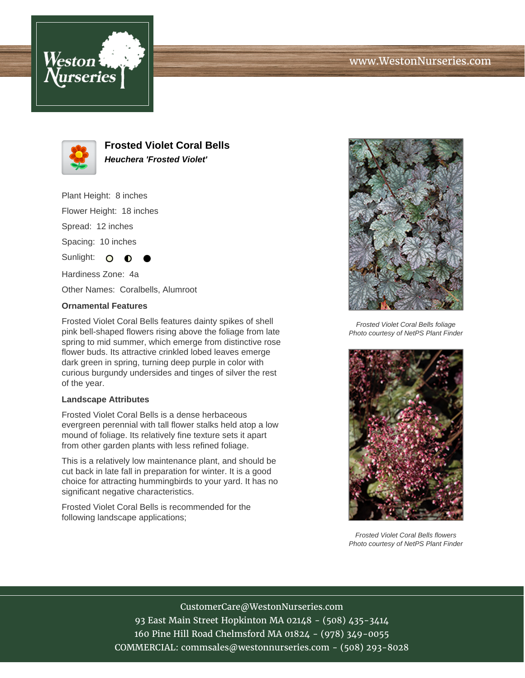## www.WestonNurseries.com





**Frosted Violet Coral Bells Heuchera 'Frosted Violet'**

Plant Height: 8 inches

Flower Height: 18 inches

Spread: 12 inches

Spacing: 10 inches

Sunlight: O

Hardiness Zone: 4a

Other Names: Coralbells, Alumroot

## **Ornamental Features**

Frosted Violet Coral Bells features dainty spikes of shell pink bell-shaped flowers rising above the foliage from late spring to mid summer, which emerge from distinctive rose flower buds. Its attractive crinkled lobed leaves emerge dark green in spring, turning deep purple in color with curious burgundy undersides and tinges of silver the rest of the year.

## **Landscape Attributes**

Frosted Violet Coral Bells is a dense herbaceous evergreen perennial with tall flower stalks held atop a low mound of foliage. Its relatively fine texture sets it apart from other garden plants with less refined foliage.

This is a relatively low maintenance plant, and should be cut back in late fall in preparation for winter. It is a good choice for attracting hummingbirds to your yard. It has no significant negative characteristics.

Frosted Violet Coral Bells is recommended for the following landscape applications;



Frosted Violet Coral Bells foliage Photo courtesy of NetPS Plant Finder



Frosted Violet Coral Bells flowers Photo courtesy of NetPS Plant Finder

CustomerCare@WestonNurseries.com 93 East Main Street Hopkinton MA 02148 - (508) 435-3414 160 Pine Hill Road Chelmsford MA 01824 - (978) 349-0055 COMMERCIAL: commsales@westonnurseries.com - (508) 293-8028